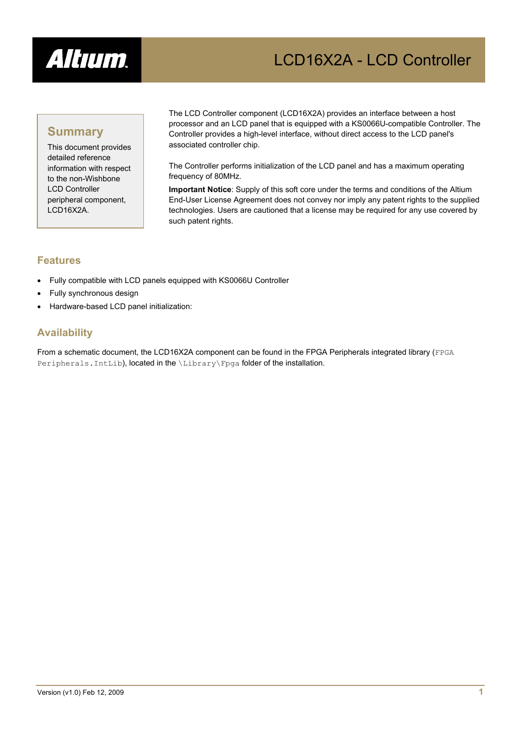

# LCD16X2A - LCD Controller

### **Summary**

This document provides detailed reference information with respect to the non-Wishbone LCD Controller peripheral component, LCD16X2A.

The LCD Controller component (LCD16X2A) provides an interface between a host processor and an LCD panel that is equipped with a KS0066U-compatible Controller. The Controller provides a high-level interface, without direct access to the LCD panel's associated controller chip.

The Controller performs initialization of the LCD panel and has a maximum operating frequency of 80MHz.

**Important Notice**: Supply of this soft core under the terms and conditions of the Altium End-User License Agreement does not convey nor imply any patent rights to the supplied technologies. Users are cautioned that a license may be required for any use covered by such patent rights.

#### **Features**

- Fully compatible with LCD panels equipped with KS0066U Controller
- Fully synchronous design
- Hardware-based LCD panel initialization:

#### **Availability**

From a schematic document, the LCD16X2A component can be found in the FPGA Peripherals integrated library (FPGA Peripherals. IntLib), located in the \Library\Fpga folder of the installation.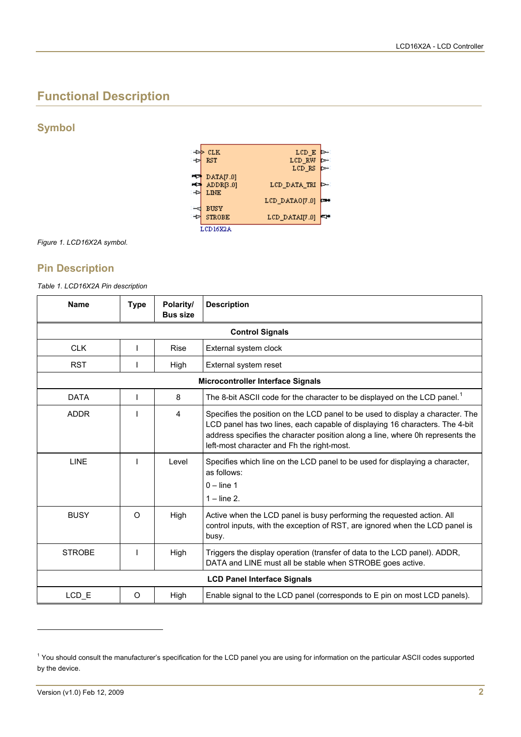# **Functional Description**

#### **Symbol**



*Figure 1. LCD16X2A symbol.* 

#### **Pin Description**

*Table 1. LCD16X2A Pin description* 

| <b>Name</b>                        | <b>Type</b>            | Polarity/<br><b>Bus size</b> | <b>Description</b>                                                                                                                                                                                                                                                                             |  |  |  |
|------------------------------------|------------------------|------------------------------|------------------------------------------------------------------------------------------------------------------------------------------------------------------------------------------------------------------------------------------------------------------------------------------------|--|--|--|
|                                    | <b>Control Signals</b> |                              |                                                                                                                                                                                                                                                                                                |  |  |  |
| <b>CLK</b>                         | ı                      | <b>Rise</b>                  | External system clock                                                                                                                                                                                                                                                                          |  |  |  |
| <b>RST</b>                         |                        | High                         | External system reset                                                                                                                                                                                                                                                                          |  |  |  |
| Microcontroller Interface Signals  |                        |                              |                                                                                                                                                                                                                                                                                                |  |  |  |
| <b>DATA</b>                        | I                      | 8                            | The 8-bit ASCII code for the character to be displayed on the LCD panel. <sup>1</sup>                                                                                                                                                                                                          |  |  |  |
| <b>ADDR</b>                        |                        | 4                            | Specifies the position on the LCD panel to be used to display a character. The<br>LCD panel has two lines, each capable of displaying 16 characters. The 4-bit<br>address specifies the character position along a line, where 0h represents the<br>left-most character and Fh the right-most. |  |  |  |
| <b>LINE</b>                        |                        | Level                        | Specifies which line on the LCD panel to be used for displaying a character,<br>as follows:<br>$0 -$ line 1<br>$1 - line 2$                                                                                                                                                                    |  |  |  |
| <b>BUSY</b>                        | $\Omega$               | High                         | Active when the LCD panel is busy performing the requested action. All<br>control inputs, with the exception of RST, are ignored when the LCD panel is<br>busy.                                                                                                                                |  |  |  |
| <b>STROBE</b>                      |                        | High                         | Triggers the display operation (transfer of data to the LCD panel). ADDR,<br>DATA and LINE must all be stable when STROBE goes active.                                                                                                                                                         |  |  |  |
| <b>LCD Panel Interface Signals</b> |                        |                              |                                                                                                                                                                                                                                                                                                |  |  |  |
| LCD_E                              | O                      | High                         | Enable signal to the LCD panel (corresponds to E pin on most LCD panels).                                                                                                                                                                                                                      |  |  |  |

l

<span id="page-1-0"></span><sup>&</sup>lt;sup>1</sup> You should consult the manufacturer's specification for the LCD panel you are using for information on the particular ASCII codes supported by the device.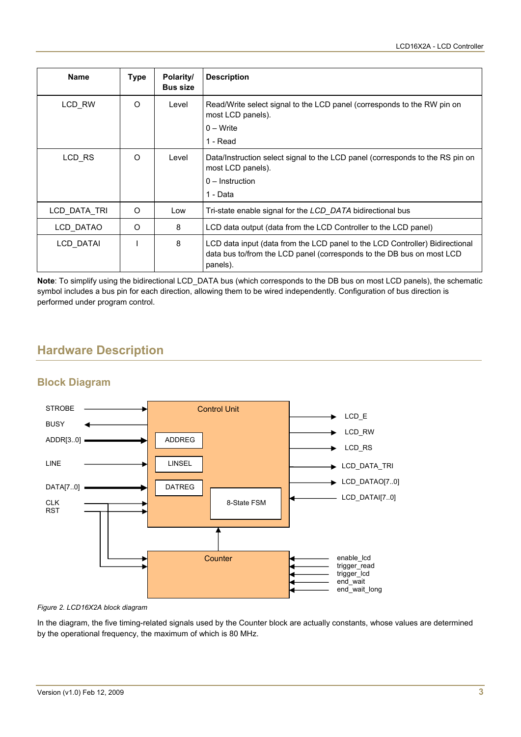| <b>Name</b>  | Type     | Polarity/<br><b>Bus size</b> | <b>Description</b>                                                                                                                                                |
|--------------|----------|------------------------------|-------------------------------------------------------------------------------------------------------------------------------------------------------------------|
| LCD RW       | $\Omega$ | Level                        | Read/Write select signal to the LCD panel (corresponds to the RW pin on<br>most LCD panels).<br>$0 - Write$<br>1 - Read                                           |
| LCD RS       | $\Omega$ | Level                        | Data/Instruction select signal to the LCD panel (corresponds to the RS pin on<br>most LCD panels).<br>$0$ – Instruction<br>1 - Data                               |
| LCD DATA TRI | $\Omega$ | Low                          | Tri-state enable signal for the <i>LCD DATA</i> bidirectional bus                                                                                                 |
| LCD DATAO    | $\Omega$ | 8                            | LCD data output (data from the LCD Controller to the LCD panel)                                                                                                   |
| LCD DATAI    |          | 8                            | LCD data input (data from the LCD panel to the LCD Controller) Bidirectional<br>data bus to/from the LCD panel (corresponds to the DB bus on most LCD<br>panels). |

**Note**: To simplify using the bidirectional LCD\_DATA bus (which corresponds to the DB bus on most LCD panels), the schematic symbol includes a bus pin for each direction, allowing them to be wired independently. Configuration of bus direction is performed under program control.

# **Hardware Description**

### **Block Diagram**



*Figure 2. LCD16X2A block diagram* 

In the diagram, the five timing-related signals used by the Counter block are actually constants, whose values are determined by the operational frequency, the maximum of which is 80 MHz.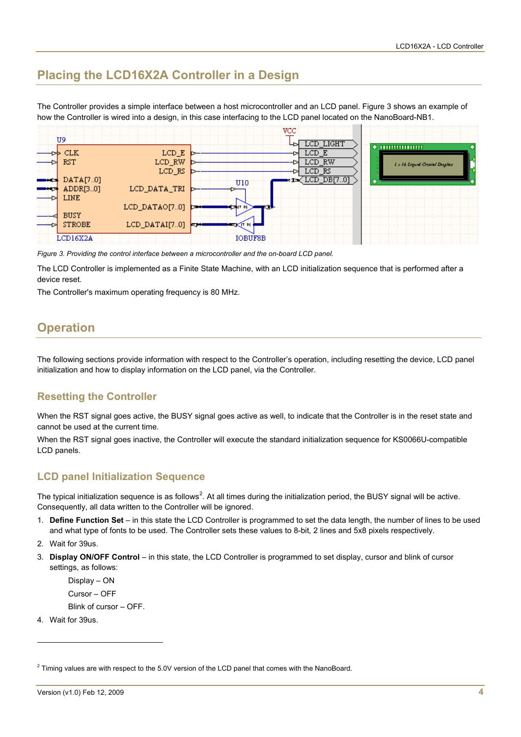### **Placing the LCD16X2A Controller in a Design**

The Controller provides a simple interface between a host microcontroller and an LCD panel. [Figure 3](#page-3-0) shows an example of how the Controller is wired into a design, in this case interfacing to the LCD panel located on the NanoBoard-NB1.



<span id="page-3-0"></span>*Figure 3. Providing the control interface between a microcontroller and the on-board LCD panel.* 

The LCD Controller is implemented as a Finite State Machine, with an LCD initialization sequence that is performed after a device reset.

The Controller's maximum operating frequency is 80 MHz.

### **Operation**

The following sections provide information with respect to the Controller's operation, including resetting the device, LCD panel initialization and how to display information on the LCD panel, via the Controller.

#### **Resetting the Controller**

When the RST signal goes active, the BUSY signal goes active as well, to indicate that the Controller is in the reset state and cannot be used at the current time.

When the RST signal goes inactive, the Controller will execute the standard initialization sequence for KS0066U-compatible LCD panels.

#### **LCD panel Initialization Sequence**

The typical initialization sequence is as follows<sup>[2](#page-3-1)</sup>. At all times during the initialization period, the BUSY signal will be active. Consequently, all data written to the Controller will be ignored.

- 1. **Define Function Set** in this state the LCD Controller is programmed to set the data length, the number of lines to be used and what type of fonts to be used. The Controller sets these values to 8-bit, 2 lines and 5x8 pixels respectively.
- 2. Wait for 39us.
- 3. **Display ON/OFF Control** in this state, the LCD Controller is programmed to set display, cursor and blink of cursor settings, as follows:

Display – ON Cursor – OFF Blink of cursor – OFF.

4. Wait for 39us.

 $\overline{a}$ 

<span id="page-3-1"></span> $^2$  Timing values are with respect to the 5.0V version of the LCD panel that comes with the NanoBoard.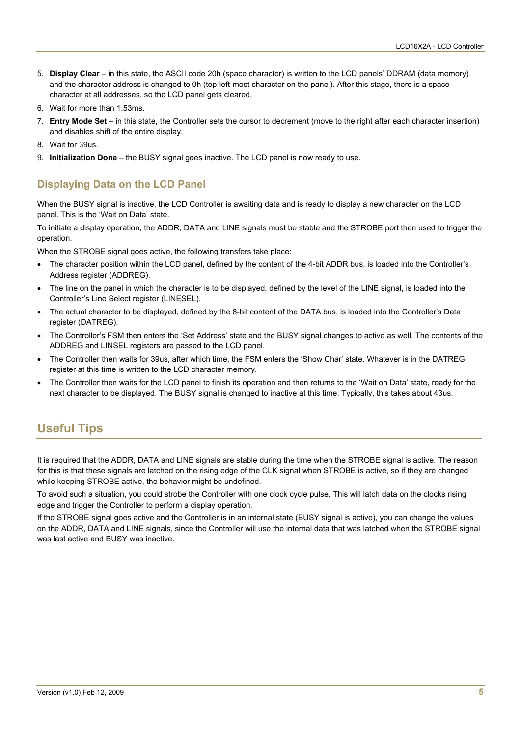- 5. **Display Clear** in this state, the ASCII code 20h (space character) is written to the LCD panels' DDRAM (data memory) and the character address is changed to 0h (top-left-most character on the panel). After this stage, there is a space character at all addresses, so the LCD panel gets cleared.
- 6. Wait for more than 1.53ms.
- 7. **Entry Mode Set** in this state, the Controller sets the cursor to decrement (move to the right after each character insertion) and disables shift of the entire display.
- 8. Wait for 39us.
- 9. **Initialization Done** the BUSY signal goes inactive. The LCD panel is now ready to use.

### **Displaying Data on the LCD Panel**

When the BUSY signal is inactive, the LCD Controller is awaiting data and is ready to display a new character on the LCD panel. This is the 'Wait on Data' state.

To initiate a display operation, the ADDR, DATA and LINE signals must be stable and the STROBE port then used to trigger the operation.

When the STROBE signal goes active, the following transfers take place:

- The character position within the LCD panel, defined by the content of the 4-bit ADDR bus, is loaded into the Controller's Address register (ADDREG).
- The line on the panel in which the character is to be displayed, defined by the level of the LINE signal, is loaded into the Controller's Line Select register (LINESEL).
- The actual character to be displayed, defined by the 8-bit content of the DATA bus, is loaded into the Controller's Data register (DATREG).
- The Controller's FSM then enters the 'Set Address' state and the BUSY signal changes to active as well. The contents of the ADDREG and LINSEL registers are passed to the LCD panel.
- The Controller then waits for 39us, after which time, the FSM enters the 'Show Char' state. Whatever is in the DATREG register at this time is written to the LCD character memory.
- The Controller then waits for the LCD panel to finish its operation and then returns to the 'Wait on Data' state, ready for the next character to be displayed. The BUSY signal is changed to inactive at this time. Typically, this takes about 43us.

## **Useful Tips**

It is required that the ADDR, DATA and LINE signals are stable during the time when the STROBE signal is active. The reason for this is that these signals are latched on the rising edge of the CLK signal when STROBE is active, so if they are changed while keeping STROBE active, the behavior might be undefined.

To avoid such a situation, you could strobe the Controller with one clock cycle pulse. This will latch data on the clocks rising edge and trigger the Controller to perform a display operation.

If the STROBE signal goes active and the Controller is in an internal state (BUSY signal is active), you can change the values on the ADDR, DATA and LINE signals, since the Controller will use the internal data that was latched when the STROBE signal was last active and BUSY was inactive.